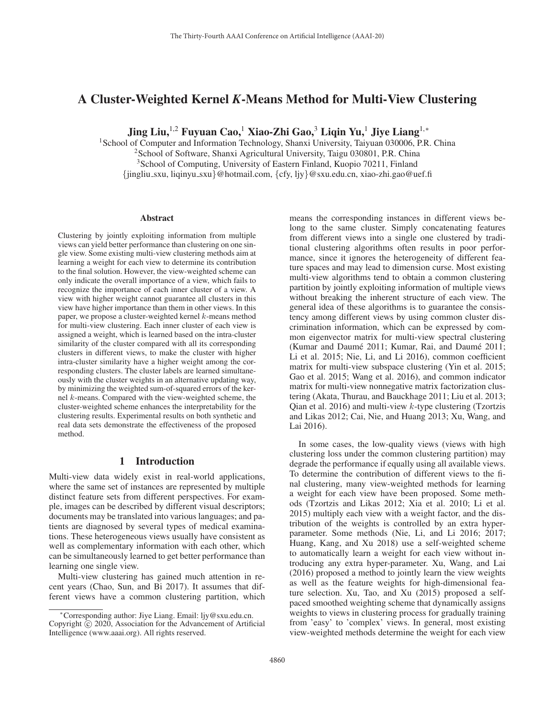# A Cluster-Weighted Kernel *K*-Means Method for Multi-View Clustering

Jing Liu,<sup>1,2</sup> Fuyuan Cao,<sup>1</sup> Xiao-Zhi Gao,<sup>3</sup> Liqin Yu,<sup>1</sup> Jiye Liang<sup>1,∗</sup>

<sup>1</sup>School of Computer and Information Technology, Shanxi University, Taiyuan 030006, P.R. China <sup>2</sup>School of Software, Shanxi Agricultural University, Taigu 030801, P.R. China <sup>3</sup>School of Computing, University of Eastern Finland, Kuopio 70211, Finland {jingliu sxu, liqinyu sxu}@hotmail.com, {cfy, ljy}@sxu.edu.cn, xiao-zhi.gao@uef.fi

#### **Abstract**

Clustering by jointly exploiting information from multiple views can yield better performance than clustering on one single view. Some existing multi-view clustering methods aim at learning a weight for each view to determine its contribution to the final solution. However, the view-weighted scheme can only indicate the overall importance of a view, which fails to recognize the importance of each inner cluster of a view. A view with higher weight cannot guarantee all clusters in this view have higher importance than them in other views. In this paper, we propose a cluster-weighted kernel k-means method for multi-view clustering. Each inner cluster of each view is assigned a weight, which is learned based on the intra-cluster similarity of the cluster compared with all its corresponding clusters in different views, to make the cluster with higher intra-cluster similarity have a higher weight among the corresponding clusters. The cluster labels are learned simultaneously with the cluster weights in an alternative updating way, by minimizing the weighted sum-of-squared errors of the kernel k-means. Compared with the view-weighted scheme, the cluster-weighted scheme enhances the interpretability for the clustering results. Experimental results on both synthetic and real data sets demonstrate the effectiveness of the proposed method.

## 1 Introduction

Multi-view data widely exist in real-world applications, where the same set of instances are represented by multiple distinct feature sets from different perspectives. For example, images can be described by different visual descriptors; documents may be translated into various languages; and patients are diagnosed by several types of medical examinations. These heterogeneous views usually have consistent as well as complementary information with each other, which can be simultaneously learned to get better performance than learning one single view.

Multi-view clustering has gained much attention in recent years (Chao, Sun, and Bi 2017). It assumes that different views have a common clustering partition, which

means the corresponding instances in different views belong to the same cluster. Simply concatenating features from different views into a single one clustered by traditional clustering algorithms often results in poor performance, since it ignores the heterogeneity of different feature spaces and may lead to dimension curse. Most existing multi-view algorithms tend to obtain a common clustering partition by jointly exploiting information of multiple views without breaking the inherent structure of each view. The general idea of these algorithms is to guarantee the consistency among different views by using common cluster discrimination information, which can be expressed by common eigenvector matrix for multi-view spectral clustering (Kumar and Daumé 2011; Kumar, Rai, and Daumé 2011; Li et al. 2015; Nie, Li, and Li 2016), common coefficient matrix for multi-view subspace clustering (Yin et al. 2015; Gao et al. 2015; Wang et al. 2016), and common indicator matrix for multi-view nonnegative matrix factorization clustering (Akata, Thurau, and Bauckhage 2011; Liu et al. 2013; Qian et al. 2016) and multi-view  $k$ -type clustering (Tzortzis and Likas 2012; Cai, Nie, and Huang 2013; Xu, Wang, and Lai 2016).

In some cases, the low-quality views (views with high clustering loss under the common clustering partition) may degrade the performance if equally using all available views. To determine the contribution of different views to the final clustering, many view-weighted methods for learning a weight for each view have been proposed. Some methods (Tzortzis and Likas 2012; Xia et al. 2010; Li et al. 2015) multiply each view with a weight factor, and the distribution of the weights is controlled by an extra hyperparameter. Some methods (Nie, Li, and Li 2016; 2017; Huang, Kang, and Xu 2018) use a self-weighted scheme to automatically learn a weight for each view without introducing any extra hyper-parameter. Xu, Wang, and Lai (2016) proposed a method to jointly learn the view weights as well as the feature weights for high-dimensional feature selection. Xu, Tao, and Xu (2015) proposed a selfpaced smoothed weighting scheme that dynamically assigns weights to views in clustering process for gradually training from 'easy' to 'complex' views. In general, most existing view-weighted methods determine the weight for each view

<sup>∗</sup>Corresponding author: Jiye Liang. Email: ljy@sxu.edu.cn. Copyright  $\odot$  2020, Association for the Advancement of Artificial Intelligence (www.aaai.org). All rights reserved.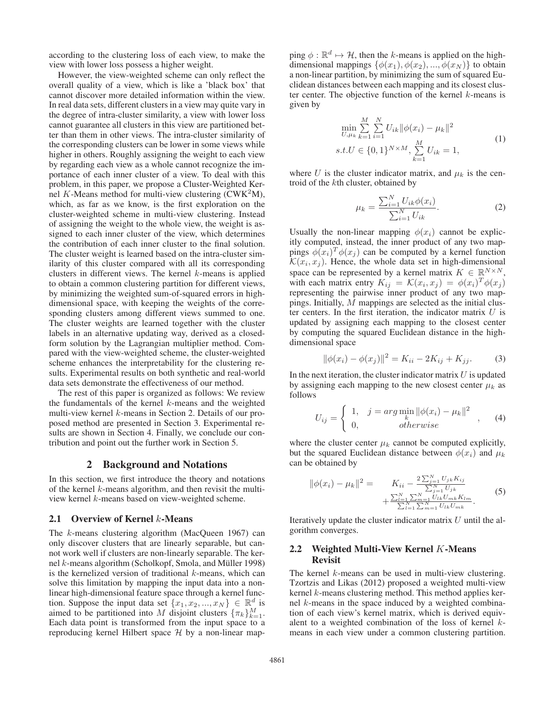according to the clustering loss of each view, to make the view with lower loss possess a higher weight.

However, the view-weighted scheme can only reflect the overall quality of a view, which is like a 'black box' that cannot discover more detailed information within the view. In real data sets, different clusters in a view may quite vary in the degree of intra-cluster similarity, a view with lower loss cannot guarantee all clusters in this view are partitioned better than them in other views. The intra-cluster similarity of the corresponding clusters can be lower in some views while higher in others. Roughly assigning the weight to each view by regarding each view as a whole cannot recognize the importance of each inner cluster of a view. To deal with this problem, in this paper, we propose a Cluster-Weighted Kernel K-Means method for multi-view clustering ( $CWK^2M$ ), which, as far as we know, is the first exploration on the cluster-weighted scheme in multi-view clustering. Instead of assigning the weight to the whole view, the weight is assigned to each inner cluster of the view, which determines the contribution of each inner cluster to the final solution. The cluster weight is learned based on the intra-cluster similarity of this cluster compared with all its corresponding clusters in different views. The kernel  $k$ -means is applied to obtain a common clustering partition for different views, by minimizing the weighted sum-of-squared errors in highdimensional space, with keeping the weights of the corresponding clusters among different views summed to one. The cluster weights are learned together with the cluster labels in an alternative updating way, derived as a closedform solution by the Lagrangian multiplier method. Compared with the view-weighted scheme, the cluster-weighted scheme enhances the interpretability for the clustering results. Experimental results on both synthetic and real-world data sets demonstrate the effectiveness of our method.

The rest of this paper is organized as follows: We review the fundamentals of the kernel  $k$ -means and the weighted multi-view kernel k-means in Section 2. Details of our proposed method are presented in Section 3. Experimental results are shown in Section 4. Finally, we conclude our contribution and point out the further work in Section 5.

## 2 Background and Notations

In this section, we first introduce the theory and notations of the kernel k-means algorithm, and then revisit the multiview kernel k-means based on view-weighted scheme.

#### 2.1 Overview of Kernel k-Means

The k-means clustering algorithm (MacQueen 1967) can only discover clusters that are linearly separable, but cannot work well if clusters are non-linearly separable. The kernel  $k$ -means algorithm (Scholkopf, Smola, and Müller 1998) is the kernelized version of traditional  $k$ -means, which can solve this limitation by mapping the input data into a nonlinear high-dimensional feature space through a kernel function. Suppose the input data set  $\{x_1, x_2, ..., x_N\} \in \mathbb{R}^d$  is aimed to be partitioned into M disjoint clusters  $\{\pi_k\}_{k=1}^M$ . Each data point is transformed from the input space to a reproducing kernel Hilbert space  $H$  by a non-linear mapping  $\phi : \mathbb{R}^d \mapsto \mathcal{H}$ , then the k-means is applied on the highdimensional mappings  $\{\phi(x_1), \phi(x_2), ..., \phi(x_N)\}\)$  to obtain a non-linear partition, by minimizing the sum of squared Euclidean distances between each mapping and its closest cluster center. The objective function of the kernel  $k$ -means is given by

$$
\min_{U, \mu_k} \sum_{k=1}^{M} \sum_{i=1}^{N} U_{ik} ||\phi(x_i) - \mu_k||^2
$$
  
s.t.  $U \in \{0, 1\}^{N \times M}, \sum_{k=1}^{M} U_{ik} = 1,$  (1)

where U is the cluster indicator matrix, and  $\mu_k$  is the centroid of the kth cluster, obtained by

$$
\mu_k = \frac{\sum_{i=1}^{N} U_{ik} \phi(x_i)}{\sum_{i=1}^{N} U_{ik}}.
$$
\n(2)

Usually the non-linear mapping  $\phi(x_i)$  cannot be explicitly computed, instead, the inner product of any two mappings  $\phi(x_i)^T \phi(x_i)$  can be computed by a kernel function  $\mathcal{K}(x_i, x_j)$ . Hence, the whole data set in high-dimensional space can be represented by a kernel matrix  $K \in \mathbb{R}^{N \times N}$ , with each matrix entry  $K_{ij} = \mathcal{K}(x_i, x_j) = \phi(x_i)^T \phi(x_j)$ <br>representing the pairwise inner product of any two mappings. Initially, M mappings are selected as the initial cluster centers. In the first iteration, the indicator matrix  $U$  is updated by assigning each mapping to the closest center by computing the squared Euclidean distance in the highdimensional space

$$
\|\phi(x_i) - \phi(x_j)\|^2 = K_{ii} - 2K_{ij} + K_{jj}.
$$
 (3)

In the next iteration, the cluster indicator matrix  $U$  is updated by assigning each mapping to the new closest center  $\mu_k$  as follows

$$
U_{ij} = \begin{cases} 1, & j = \arg\min_{k} ||\phi(x_i) - \mu_k||^2 \\ 0, & \text{otherwise} \end{cases} (4)
$$

where the cluster center  $\mu_k$  cannot be computed explicitly, but the squared Euclidean distance between  $\phi(x_i)$  and  $\mu_k$ can be obtained by

$$
\|\phi(x_i) - \mu_k\|^2 = K_{ii} - \frac{2\sum_{j=1}^N U_{jk} K_{ij}}{\sum_{j=1}^N U_{jk}} + \frac{\sum_{l=1}^N \sum_{m=1}^N U_{lk} U_{mk} K_{lm}}{\sum_{l=1}^N \sum_{m=1}^N U_{lk} U_{mk}}.
$$
 (5)

Iteratively update the cluster indicator matrix  $U$  until the algorithm converges.

#### 2.2 Weighted Multi-View Kernel K-Means Revisit

The kernel *k*-means can be used in multi-view clustering. Tzortzis and Likas (2012) proposed a weighted multi-view kernel k-means clustering method. This method applies kernel k-means in the space induced by a weighted combination of each view's kernel matrix, which is derived equivalent to a weighted combination of the loss of kernel kmeans in each view under a common clustering partition.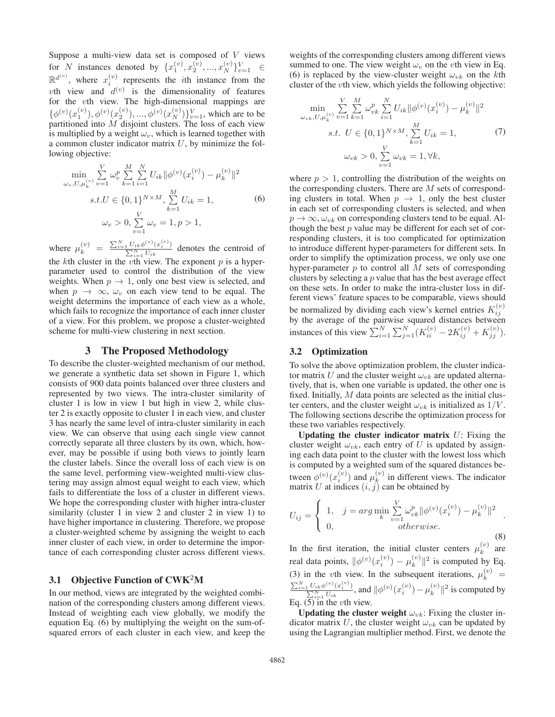Suppose a multi-view data set is composed of V views for N instances denoted by  $\{x_1^{(v)}, x_2^{(v)}, ..., x_N^{(v)}\}_{v=1}^V$   $\in$  $\mathbb{R}^{d^{(v)}}$ , where  $x_i^{(v)}$  represents the *i*th instance from the *vth* view and  $d^{(v)}$  is the dimensionality of features for the vth view. The high-dimensional mappings are  $\{\phi^{(v)}(x_1^{(v)}), \phi^{(v)}(x_2^{(v)}), ..., \phi^{(v)}(x_N^{(v)})\}_{v=1}^V$ , which are to be<br>partitioned into M disjoint clusters. The loss of each view partitioned into  $M$  disjoint clusters. The loss of each view is multiplied by a weight  $\omega_v$ , which is learned together with a common cluster indicator matrix  $U$ , by minimize the following objective:

$$
\min_{\omega_v, U, \mu_k^{(v)}} \sum_{v=1}^V \omega_v^p \sum_{k=1}^M \sum_{i=1}^N U_{ik} ||\phi^{(v)}(x_i^{(v)}) - \mu_k^{(v)}||^2
$$
\n
$$
s.t. U \in \{0, 1\}^{N \times M}, \sum_{k=1}^M U_{ik} = 1,
$$
\n
$$
\omega_v > 0, \sum_{v=1}^V \omega_v = 1, p > 1,
$$
\n(6)

where  $\mu_k^{(v)} = \frac{\sum_{i=1}^N U_{ik} \phi^{(v)}(x_i^{(v)})}{\sum_{i=1}^N U_{ik}}$  denotes the centroid of the kth cluster in the vth view. The exponent  $p$  is a hyperparameter used to control the distribution of the view weights. When  $p \to 1$ , only one best view is selected, and when  $p \rightarrow \infty$ ,  $\omega_v$  on each view tend to be equal. The weight determins the importance of each view as a whole, which fails to recognize the importance of each inner cluster of a view. For this problem, we propose a cluster-weighted scheme for multi-view clustering in next section.

#### 3 The Proposed Methodology

To describe the cluster-weighted mechanism of our method, we generate a synthetic data set shown in Figure 1, which consists of 900 data points balanced over three clusters and represented by two views. The intra-cluster similarity of cluster 1 is low in view 1 but high in view 2, while cluster 2 is exactly opposite to cluster 1 in each view, and cluster 3 has nearly the same level of intra-cluster similarity in each view. We can observe that using each single view cannot correctly separate all three clusters by its own, which, however, may be possible if using both views to jointly learn the cluster labels. Since the overall loss of each view is on the same level, performing view-weighted multi-view clustering may assign almost equal weight to each view, which fails to differentiate the loss of a cluster in different views. We hope the corresponding cluster with higher intra-cluster similarity (cluster 1 in view 2 and cluster 2 in view 1) to have higher importance in clustering. Therefore, we propose a cluster-weighted scheme by assigning the weight to each inner cluster of each view, in order to determine the importance of each corresponding cluster across different views.

## 3.1 Objective Function of CWK<sup>2</sup>M

In our method, views are integrated by the weighted combination of the corresponding clusters among different views. Instead of weighting each view globally, we modify the equation Eq. (6) by multiplying the weight on the sum-ofsquared errors of each cluster in each view, and keep the

weights of the corresponding clusters among different views summed to one. The view weight  $\omega_v$  on the vth view in Eq. (6) is replaced by the view-cluster weight  $\omega_{vk}$  on the kth cluster of the vth view, which yields the following objective:

$$
\min_{\omega_{vk}, U, \mu_k^{(v)}} \sum_{v=1}^{V} \sum_{k=1}^{M} \omega_{vk}^p \sum_{i=1}^{N} U_{ik} ||\phi^{(v)}(x_i^{(v)}) - \mu_k^{(v)}||^2
$$
\n
$$
s.t. \ U \in \{0, 1\}^{N \times M}, \sum_{k=1}^{M} U_{ik} = 1,
$$
\n
$$
\omega_{vk} > 0, \sum_{v=1}^{V} \omega_{vk} = 1, \forall k,
$$
\n(7)

where  $p > 1$ , controlling the distribution of the weights on the corresponding clusters. There are M sets of corresponding clusters in total. When  $p \rightarrow 1$ , only the best cluster in each set of corresponding clusters is selected, and when  $p \rightarrow \infty$ ,  $\omega_{vk}$  on corresponding clusters tend to be equal. Although the best  $p$  value may be different for each set of corresponding clusters, it is too complicated for optimization to introduce different hyper-parameters for different sets. In order to simplify the optimization process, we only use one hyper-parameter  $p$  to control all  $M$  sets of corresponding clusters by selecting a  $p$  value that has the best average effect on these sets. In order to make the intra-cluster loss in different views' feature spaces to be comparable, views should be normalized by dividing each view's kernel entries  $K_{ij}^{(v)}$  by the average of the pairwise squared distances between instances of this view  $\sum_{i=1}^{N} \sum_{j=1}^{N} (K_{ii}^{(v)} - 2K_{ij}^{(v)} + K_{jj}^{(v)})$ .

#### 3.2 Optimization

To solve the above optimization problem, the cluster indicator matrix U and the cluster weight  $\omega_{vk}$  are updated alternatively, that is, when one variable is updated, the other one is fixed. Initially, M data points are selected as the initial cluster centers, and the cluster weight  $\omega_{vk}$  is initialized as  $1/V$ . The following sections describe the optimization process for these two variables respectively.

Updating the cluster indicator matrix  $U$ : Fixing the cluster weight  $\omega_{vk}$ , each entry of U is updated by assigning each data point to the cluster with the lowest loss which is computed by a weighted sum of the squared distances between  $\phi^{(v)}(x_i^{(v)})$  and  $\mu_k^{(v)}$  in different views. The indicator matrix *U* at indices  $(i, j)$  can be obtained by matrix U at indices  $(i, j)$  can be obtained by

$$
U_{ij} = \begin{cases} 1, & j = arg \min_{k} \sum_{v=1}^{V} \omega_{vk}^{p} ||\phi^{(v)}(x_i^{(v)}) - \mu_k^{(v)}||^2 \\ 0, & otherwise. \end{cases}
$$
 (8)

In the first iteration, the initial cluster centers  $\mu_k^{(v)}$  are real data points,  $\|\phi^{(v)}(x_i^{(v)}) - \mu_k^{(v)}\|^2$  is computed by Eq. (3) in the vth view. In the subsequent iterations,  $\mu_k^{(v)}$ (x) in the vin view. In the subsequent iterations,  $\mu_k^i = \frac{\sum_{i=1}^{N} U_{ik} \phi^{(v)}(x_i^{(v)})}{\sum_{i=1}^{N} U_{ik}}$ , and  $\|\phi^{(v)}(x_i^{(v)}) - \mu_k^{(v)}\|^2$  is computed by Eq.  $(5)$  in the *v*th view.

Updating the cluster weight  $\omega_{vk}$ : Fixing the cluster indicator matrix U, the cluster weight  $\omega_{vk}$  can be updated by using the Lagrangian multiplier method. First, we denote the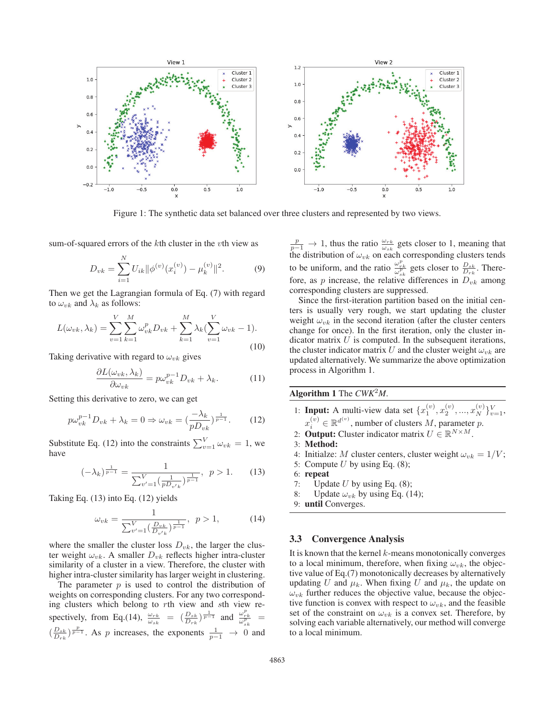

Figure 1: The synthetic data set balanced over three clusters and represented by two views.

sum-of-squared errors of the kth cluster in the vth view as

$$
D_{vk} = \sum_{i=1}^{N} U_{ik} ||\phi^{(v)}(x_i^{(v)}) - \mu_k^{(v)}||^2.
$$
 (9)

Then we get the Lagrangian formula of Eq. (7) with regard to  $\omega_{vk}$  and  $\lambda_k$  as follows:

$$
L(\omega_{vk}, \lambda_k) = \sum_{v=1}^{V} \sum_{k=1}^{M} \omega_{vk}^p D_{vk} + \sum_{k=1}^{M} \lambda_k (\sum_{v=1}^{V} \omega_{vk} - 1).
$$
\n(10)

Taking derivative with regard to  $\omega_{vk}$  gives

$$
\frac{\partial L(\omega_{vk}, \lambda_k)}{\partial \omega_{vk}} = p\omega_{vk}^{p-1}D_{vk} + \lambda_k.
$$
 (11)

Setting this derivative to zero, we can get

$$
p\omega_{vk}^{p-1}D_{vk} + \lambda_k = 0 \Rightarrow \omega_{vk} = \left(\frac{-\lambda_k}{pD_{vk}}\right)^{\frac{1}{p-1}}.\tag{12}
$$

Substitute Eq. (12) into the constraints  $\sum_{v=1}^{V} \omega_{vk} = 1$ , we have have

$$
(-\lambda_k)^{\frac{1}{p-1}} = \frac{1}{\sum_{v'=1}^V (\frac{1}{pD_{v'k}})^{\frac{1}{p-1}}}, \ \ p > 1.
$$
 (13)

Taking Eq. (13) into Eq. (12) yields

$$
\omega_{vk} = \frac{1}{\sum_{v'=1}^{V} (\frac{D_{vk}}{D_{v'k}})^{\frac{1}{p-1}}}, \ \ p > 1,
$$
 (14)

where the smaller the cluster loss  $D_{vk}$ , the larger the cluster weight  $\omega_{vk}$ . A smaller  $D_{vk}$  reflects higher intra-cluster similarity of a cluster in a view. Therefore, the cluster with higher intra-cluster similarity has larger weight in clustering.

The parameter  $p$  is used to control the distribution of weights on corresponding clusters. For any two corresponding clusters which belong to rth view and sth view respectively, from Eq.(14),  $\frac{\omega_{rk}}{\omega_{sk}} = (\frac{D_{sk}}{D_{rk}})^{\frac{1}{p-1}}$  and  $\frac{\omega_{rk}^p}{\omega_{sk}^p}$  $(\frac{D_{sk}}{D_{rk}})^{\frac{p}{p-1}}$ . As p increases, the exponents  $\frac{1}{p-1} \to 0$  and

 $\frac{p}{p-1} \to 1$ , thus the ratio  $\frac{\omega_{rk}}{\omega_{sk}}$  gets closer to 1, meaning that the distribution of  $\omega_{vk}$  on each corresponding clusters tends to be uniform, and the ratio  $\frac{\omega_{rk}^p}{\omega_{sk}^p}$  gets closer to  $\frac{D_{sk}}{D_{rk}}$ . Therefore, as p increase, the relative differences in  $D_{vk}$  among corresponding clusters are suppressed.

Since the first-iteration partition based on the initial centers is usually very rough, we start updating the cluster weight  $\omega_{vk}$  in the second iteration (after the cluster centers change for once). In the first iteration, only the cluster indicator matrix  $U$  is computed. In the subsequent iterations, the cluster indicator matrix U and the cluster weight  $\omega_{vk}$  are updated alternatively. We summarize the above optimization process in Algorithm 1.

Algorithm 1 The *CWK*<sup>2</sup>*M*.

- 1: **Input:** A multi-view data set  $\{x_1^{(v)}, x_2^{(v)}, ..., x_N^{(v)}\}_{v=1}^V$ ,  $x_i^{(v)} \in \mathbb{R}^{d^{(v)}}$ , number of clusters M, parameter p.
- 2: Output: Cluster indicator matrix  $U \in \mathbb{R}^{N \times M}$ .
- 3: Method:
- 4: Initialze: M cluster centers, cluster weight  $\omega_{vk} = 1/V$ ;
- 5: Compute  $U$  by using Eq. (8);
- 6: repeat
- 7: Update U by using Eq.  $(8)$ ;
- 8: Update  $\omega_{v,k}$  by using Eq. (14);

#### 3.3 Convergence Analysis

It is known that the kernel  $k$ -means monotonically converges to a local minimum, therefore, when fixing  $\omega_{vk}$ , the objective value of Eq.(7) monotonically decreases by alternatively updating U and  $\mu_k$ . When fixing U and  $\mu_k$ , the update on  $\omega_{vk}$  further reduces the objective value, because the objective function is convex with respect to  $\omega_{vk}$ , and the feasible set of the constraint on  $\omega_{vk}$  is a convex set. Therefore, by solving each variable alternatively, our method will converge to a local minimum.

<sup>9:</sup> until Converges.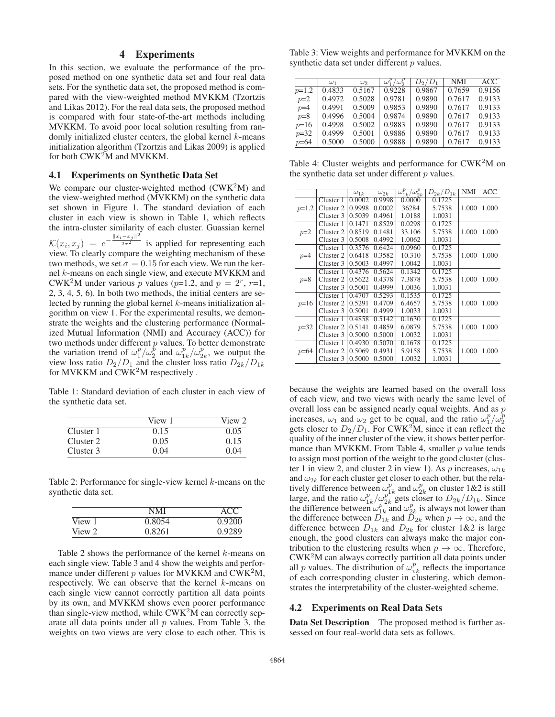## 4 Experiments

In this section, we evaluate the performance of the proposed method on one synthetic data set and four real data sets. For the synthetic data set, the proposed method is compared with the view-weighted method MVKKM (Tzortzis and Likas 2012). For the real data sets, the proposed method is compared with four state-of-the-art methods including MVKKM. To avoid poor local solution resulting from randomly initialized cluster centers, the global kernel  $k$ -means initialization algorithm (Tzortzis and Likas 2009) is applied for both CWK<sup>2</sup>M and MVKKM.

#### 4.1 Experiments on Synthetic Data Set

We compare our cluster-weighted method  $(CWK<sup>2</sup>M)$  and the view-weighted method (MVKKM) on the synthetic data set shown in Figure 1. The standard deviation of each cluster in each view is shown in Table 1, which reflects the intra-cluster similarity of each cluster. Guassian kernel  $\mathcal{K}(x_i, x_j) = e^{-\frac{\|x_i - x_j\|^2}{2\sigma^2}}$  is applied for representing each view To clearly compare the weighting mechanism of these view. To clearly compare the weighting mechanism of these two methods, we set  $\sigma = 0.15$  for each view. We run the kernel k-means on each single view, and execute MVKKM and CWK<sup>2</sup>M under various p values (p=1.2, and  $p = 2^r$ , r=1, 2, 3, 4, 5, 6). In both two methods, the initial centers are selected by running the global kernel k-means initialization algorithm on view 1. For the experimental results, we demonstrate the weights and the clustering performance (Normalized Mutual Information (NMI) and Accuracy (ACC)) for two methods under different  $p$  values. To better demonstrate the variation trend of  $\omega_1^p/\omega_2^p$  and  $\omega_{1k}^p/\omega_{2k}^p$ , we output the view loss ratio  $D_2/D_1$  and the cluster loss ratio  $D_{2k}/D_{1k}$ for MVKKM and CWK<sup>2</sup>M respectively.

Table 1: Standard deviation of each cluster in each view of the synthetic data set.

|           | View 1 | View 2 |
|-----------|--------|--------|
| Cluster 1 | 0.15   | 0.05   |
| Cluster 2 | 0.05   | 0.15   |
| Cluster 3 | 0.04   | 0.04   |

Table 2: Performance for single-view kernel k-means on the synthetic data set.

|        | NMI    | ACC    |
|--------|--------|--------|
| View 1 | 0.8054 | 0.9200 |
| View 2 | 0.8261 | 0.9289 |

Table 2 shows the performance of the kernel  $k$ -means on each single view. Table 3 and 4 show the weights and performance under different  $p$  values for MVKKM and CWK<sup>2</sup>M, respectively. We can observe that the kernel k-means on each single view cannot correctly partition all data points by its own, and MVKKM shows even poorer performance than single-view method, while  $CWK<sup>2</sup>M$  can correctly separate all data points under all  $p$  values. From Table 3, the weights on two views are very close to each other. This is

Table 3: View weights and performance for MVKKM on the synthetic data set under different p values.

|         | $\omega_1$ | $\omega_2$ | $\omega_1^p/\omega_2^p$ | $D_2/D_1$ | <b>NMI</b> | ACC.   |
|---------|------------|------------|-------------------------|-----------|------------|--------|
| $p=1.2$ | 0.4833     | 0.5167     | 0.9228                  | 0.9867    | 0.7659     | 0.9156 |
| $p=2$   | 0.4972     | 0.5028     | 0.9781                  | 0.9890    | 0.7617     | 0.9133 |
| $p=4$   | 0.4991     | 0.5009     | 0.9853                  | 0.9890    | 0.7617     | 0.9133 |
| $p=8$   | 0.4996     | 0.5004     | 0.9874                  | 0.9890    | 0.7617     | 0.9133 |
| $p=16$  | 0.4998     | 0.5002     | 0.9883                  | 0.9890    | 0.7617     | 0.9133 |
| $p=32$  | 0.4999     | 0.5001     | 0.9886                  | 0.9890    | 0.7617     | 0.9133 |
| $p=64$  | 0.5000     | 0.5000     | 0.9888                  | 0.9890    | 0.7617     | 0.9133 |

Table 4: Cluster weights and performance for CWK<sup>2</sup>M on the synthetic data set under different  $p$  values.

|         |                      | $\omega_{1k}$ | $\omega_{2k}$ | $\omega_{1k}^P/\omega_{2k}^P$ | $D_{2k}/D_{1k}$ | <b>NMI</b>  | ACC   |
|---------|----------------------|---------------|---------------|-------------------------------|-----------------|-------------|-------|
|         | Cluster 1            | 0.0002        | 0.9998        | 0.0000                        | 0.1725          |             |       |
| $p=1.2$ | Cluster 2            | 0.9998        | 0.0002        | 36284                         | 5.7538          | 1.000 1.000 |       |
|         | Cluster 3            | 0.5039        | 0.4961        | 1.0188                        | 1.0031          |             |       |
|         | Cluster 1            | 0.1471        | 0.8529        | 0.0298                        | 0.1725          |             |       |
| $p=2$   | Cluster 2            | 0.8519        | 0.1481        | 33.106                        | 5.7538          | 1.000 1.000 |       |
|         | Cluster 3            | 0.5008        | 0.4992        | 1.0062                        | 1.0031          |             |       |
|         | Cluster 1            | 0.3576        | 0.6424        | 0.0960                        | 0.1725          |             |       |
| $p=4$   | Cluster 2            | 0.6418        | 0.3582        | 10.310                        | 5.7538          | 1.000 1.000 |       |
|         | Cluster 3            | 0.5003        | 0.4997        | 1.0042                        | 1.0031          |             |       |
|         | Cluster 1            | 0.4376        | 0.5624        | 0.1342                        | 0.1725          |             |       |
| $p=8$   | Cluster 2            | 0.5622        | 0.4378        | 7.3878                        | 5.7538          | 1.000 1.000 |       |
|         | Cluster 3            | 0.5001        | 0.4999        | 1.0036                        | 1.0031          |             |       |
|         | Cluster 1            | 0.4707        | 0.5293        | 0.1535                        | 0.1725          |             |       |
| $p=16$  | Cluster 2            | 0.5291        | 0.4709        | 6.4657                        | 5.7538          | 1.000 1.000 |       |
|         | Cluster 3            | 0.5001        | 0.4999        | 1.0033                        | 1.0031          |             |       |
|         | Cluster <sub>1</sub> | 0.4858        | 0.5142        | 0.1630                        | 0.1725          |             |       |
| $p=32$  | Cluster 2            | 0.5141        | 0.4859        | 6.0879                        | 5.7538          | 1.000 1.000 |       |
|         | Cluster 3            | 0.5000        | 0.5000        | 1.0032                        | 1.0031          |             |       |
|         | Cluster 1            | 0.4930        | 0.5070        | 0.1678                        | 0.1725          |             |       |
| $p=64$  | Cluster 2            | 0.5069        | 0.4931        | 5.9158                        | 5.7538          | 1.000       | 1.000 |
|         | Cluster 3            | 0.5000        | 0.5000        | 1.0032                        | 1.0031          |             |       |

because the weights are learned based on the overall loss of each view, and two views with nearly the same level of overall loss can be assigned nearly equal weights. And as  $p$ increases,  $\omega_1$  and  $\omega_2$  get to be equal, and the ratio  $\omega_1^p / \omega_2^p$ gets closer to  $D_2/D_1$ . For CWK<sup>2</sup>M, since it can reflect the quality of the inner cluster of the view, it shows better performance than MVKKM. From Table 4, smaller  $p$  value tends to assign most portion of the weight to the good cluster (cluster 1 in view 2, and cluster 2 in view 1). As p increases,  $\omega_{1k}$ and  $\omega_{2k}$  for each cluster get closer to each other, but the relatively difference between  $\omega_{1k}^{p}$  and  $\omega_{2k}^{p}$  on cluster 1&2 is still large, and the ratio  $\omega_{1k}^p/\omega_{2k}^p$  gets closer to  $D_{2k}/D_{1k}$ . Since the difference between  $\omega_{1k}^{p}$  and  $\omega_{2k}^{p}$  is always not lower than the difference between  $\tilde{D_{1k}}$  and  $\tilde{D_{2k}}$  when  $p \to \infty$ , and the difference between  $D_{1k}$  and  $D_{2k}$  for cluster 1&2 is large enough, the good clusters can always make the major contribution to the clustering results when  $p \to \infty$ . Therefore, CWK<sup>2</sup>M can always correctly partition all data points under all p values. The distribution of  $\omega_{nk}^p$  reflects the importance of each corresponding cluster in clustering, which demonstrates the interpretability of the cluster-weighted scheme.

#### 4.2 Experiments on Real Data Sets

Data Set Description The proposed method is further assessed on four real-world data sets as follows.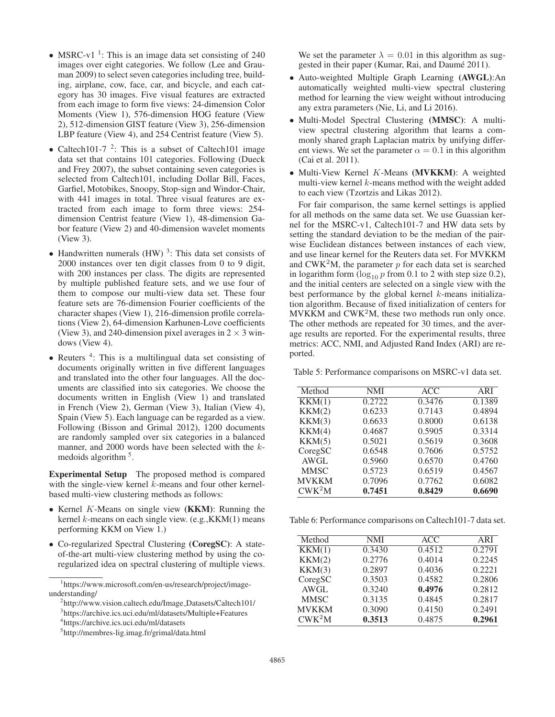- MSRC-v1 $^{-1}$ : This is an image data set consisting of 240 images over eight categories. We follow (Lee and Grauman 2009) to select seven categories including tree, building, airplane, cow, face, car, and bicycle, and each category has 30 images. Five visual features are extracted from each image to form five views: 24-dimension Color Moments (View 1), 576-dimension HOG feature (View 2), 512-dimension GIST feature (View 3), 256-dimension LBP feature (View 4), and 254 Centrist feature (View 5).
- Caltech101-7<sup>2</sup>: This is a subset of Caltech101 image data set that contains 101 categories. Following (Dueck and Frey 2007), the subset containing seven categories is selected from Caltech101, including Dollar Bill, Faces, Garfiel, Motobikes, Snoopy, Stop-sign and Windor-Chair, with 441 images in total. Three visual features are extracted from each image to form three views: 254 dimension Centrist feature (View 1), 48-dimension Gabor feature (View 2) and 40-dimension wavelet moments (View 3).
- Handwritten numerals (HW)<sup>3</sup>: This data set consists of 2000 instances over ten digit classes from 0 to 9 digit, with 200 instances per class. The digits are represented by multiple published feature sets, and we use four of them to compose our multi-view data set. These four feature sets are 76-dimension Fourier coefficients of the character shapes (View 1), 216-dimension profile correlations (View 2), 64-dimension Karhunen-Love coefficients (View 3), and 240-dimension pixel averages in  $2 \times 3$  windows (View 4).
- Reuters<sup>4</sup>: This is a multilingual data set consisting of documents originally written in five different languages and translated into the other four languages. All the documents are classified into six categories. We choose the documents written in English (View 1) and translated in French (View 2), German (View 3), Italian (View 4), Spain (View 5). Each language can be regarded as a view. Following (Bisson and Grimal 2012), 1200 documents are randomly sampled over six categories in a balanced manner, and 2000 words have been selected with the kmedoids algorithm<sup>5</sup>.

Experimental Setup The proposed method is compared with the single-view kernel  $k$ -means and four other kernelbased multi-view clustering methods as follows:

- Kernel K-Means on single view (KKM): Running the kernel  $k$ -means on each single view. (e.g.,  $KKM(1)$  means performing KKM on View 1.)
- Co-regularized Spectral Clustering (CoregSC): A stateof-the-art multi-view clustering method by using the coregularized idea on spectral clustering of multiple views.

We set the parameter  $\lambda = 0.01$  in this algorithm as suggested in their paper (Kumar, Rai, and Daumé 2011).

- Auto-weighted Multiple Graph Learning (AWGL):An automatically weighted multi-view spectral clustering method for learning the view weight without introducing any extra parameters (Nie, Li, and Li 2016).
- Multi-Model Spectral Clustering (MMSC): A multiview spectral clustering algorithm that learns a commonly shared graph Laplacian matrix by unifying different views. We set the parameter  $\alpha = 0.1$  in this algorithm (Cai et al. 2011).
- Multi-View Kernel K-Means (MVKKM): A weighted multi-view kernel k-means method with the weight added to each view (Tzortzis and Likas 2012).

For fair comparison, the same kernel settings is applied for all methods on the same data set. We use Guassian kernel for the MSRC-v1, Caltech101-7 and HW data sets by setting the standard deviation to be the median of the pairwise Euclidean distances between instances of each view, and use linear kernel for the Reuters data set. For MVKKM and CWK<sup>2</sup>M, the parameter  $p$  for each data set is searched in logarithm form  $(\log_{10} p$  from 0.1 to 2 with step size 0.2), and the initial centers are selected on a single view with the best performance by the global kernel  $k$ -means initialization algorithm. Because of fixed initialization of centers for MVKKM and CWK<sup>2</sup>M, these two methods run only once. The other methods are repeated for 30 times, and the average results are reported. For the experimental results, three metrics: ACC, NMI, and Adjusted Rand Index (ARI) are reported.

Table 5: Performance comparisons on MSRC-v1 data set.

| Method       | <b>NMI</b> | <b>ACC</b> | ARI    |
|--------------|------------|------------|--------|
| KKM(1)       | 0.2722     | 0.3476     | 0.1389 |
| KKM(2)       | 0.6233     | 0.7143     | 0.4894 |
| KKM(3)       | 0.6633     | 0.8000     | 0.6138 |
| KKM(4)       | 0.4687     | 0.5905     | 0.3314 |
| KKM(5)       | 0.5021     | 0.5619     | 0.3608 |
| CoregSC      | 0.6548     | 0.7606     | 0.5752 |
| <b>AWGL</b>  | 0.5960     | 0.6570     | 0.4760 |
| <b>MMSC</b>  | 0.5723     | 0.6519     | 0.4567 |
| <b>MVKKM</b> | 0.7096     | 0.7762     | 0.6082 |
| $CWK^2M$     | 0.7451     | 0.8429     | 0.6690 |

Table 6: Performance comparisons on Caltech101-7 data set.

| Method             | NMI    | <b>ACC</b> | ARI    |
|--------------------|--------|------------|--------|
| KKM(1)             | 0.3430 | 0.4512     | 0.2791 |
| KKM(2)             | 0.2776 | 0.4014     | 0.2245 |
| KKM(3)             | 0.2897 | 0.4036     | 0.2221 |
| CoregSC            | 0.3503 | 0.4582     | 0.2806 |
| AWGL               | 0.3240 | 0.4976     | 0.2812 |
| <b>MMSC</b>        | 0.3135 | 0.4845     | 0.2817 |
| <b>MVKKM</b>       | 0.3090 | 0.4150     | 0.2491 |
| CWK <sup>2</sup> M | 0.3513 | 0.4875     | 0.2961 |

<sup>1</sup> https://www.microsoft.com/en-us/research/project/imageunderstanding/

<sup>&</sup>lt;sup>2</sup>http://www.vision.caltech.edu/Image\_Datasets/Caltech101/

<sup>3</sup> https://archive.ics.uci.edu/ml/datasets/Multiple+Features

<sup>4</sup> https://archive.ics.uci.edu/ml/datasets

<sup>5</sup> http://membres-lig.imag.fr/grimal/data.html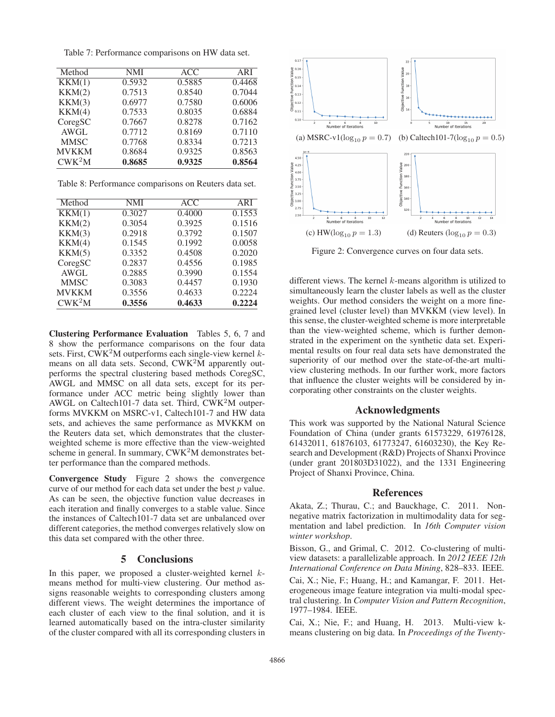Table 7: Performance comparisons on HW data set.

| 0.8684     | 0.9325     | 0.8563 |
|------------|------------|--------|
| 0.7768     | 0.8334     | 0.7213 |
| 0.7712     | 0.8169     | 0.7110 |
| 0.7667     | 0.8278     | 0.7162 |
| 0.7533     | 0.8035     | 0.6884 |
| 0.6977     | 0.7580     | 0.6006 |
| 0.7513     | 0.8540     | 0.7044 |
| 0.5932     | 0.5885     | 0.4468 |
| <b>NMI</b> | <b>ACC</b> | ARI    |
|            |            |        |

Table 8: Performance comparisons on Reuters data set.

| Method                     | <b>NMI</b> | <b>ACC</b> | ARI    |
|----------------------------|------------|------------|--------|
| $\overline{\text{KKM}(1)}$ | 0.3027     | 0.4000     | 0.1553 |
| KKM(2)                     | 0.3054     | 0.3925     | 0.1516 |
| KKM(3)                     | 0.2918     | 0.3792     | 0.1507 |
| KKM(4)                     | 0.1545     | 0.1992     | 0.0058 |
| KKM(5)                     | 0.3352     | 0.4508     | 0.2020 |
| CoregSC                    | 0.2837     | 0.4556     | 0.1985 |
| AWGL                       | 0.2885     | 0.3990     | 0.1554 |
| <b>MMSC</b>                | 0.3083     | 0.4457     | 0.1930 |
| <b>MVKKM</b>               | 0.3556     | 0.4633     | 0.2224 |
| $CWK^2M$                   | 0.3556     | 0.4633     | 0.2224 |

Clustering Performance Evaluation Tables 5, 6, 7 and 8 show the performance comparisons on the four data sets. First, CWK<sup>2</sup>M outperforms each single-view kernel  $k$ means on all data sets. Second, CWK<sup>2</sup>M apparently outperforms the spectral clustering based methods CoregSC, AWGL and MMSC on all data sets, except for its performance under ACC metric being slightly lower than AWGL on Caltech101-7 data set. Third,  $CWK<sup>2</sup>M$  outperforms MVKKM on MSRC-v1, Caltech101-7 and HW data sets, and achieves the same performance as MVKKM on the Reuters data set, which demonstrates that the clusterweighted scheme is more effective than the view-weighted scheme in general. In summary,  $CWK<sup>2</sup>M$  demonstrates better performance than the compared methods.

Convergence Study Figure 2 shows the convergence curve of our method for each data set under the best  $p$  value. As can be seen, the objective function value decreases in each iteration and finally converges to a stable value. Since the instances of Caltech101-7 data set are unbalanced over different categories, the method converges relatively slow on this data set compared with the other three.

## 5 Conclusions

In this paper, we proposed a cluster-weighted kernel  $k$ means method for multi-view clustering. Our method assigns reasonable weights to corresponding clusters among different views. The weight determines the importance of each cluster of each view to the final solution, and it is learned automatically based on the intra-cluster similarity of the cluster compared with all its corresponding clusters in



Figure 2: Convergence curves on four data sets.

different views. The kernel  $k$ -means algorithm is utilized to simultaneously learn the cluster labels as well as the cluster weights. Our method considers the weight on a more finegrained level (cluster level) than MVKKM (view level). In this sense, the cluster-weighted scheme is more interpretable than the view-weighted scheme, which is further demonstrated in the experiment on the synthetic data set. Experimental results on four real data sets have demonstrated the superiority of our method over the state-of-the-art multiview clustering methods. In our further work, more factors that influence the cluster weights will be considered by incorporating other constraints on the cluster weights.

### Acknowledgments

This work was supported by the National Natural Science Foundation of China (under grants 61573229, 61976128, 61432011, 61876103, 61773247, 61603230), the Key Research and Development (R&D) Projects of Shanxi Province (under grant 201803D31022), and the 1331 Engineering Project of Shanxi Province, China.

## References

Akata, Z.; Thurau, C.; and Bauckhage, C. 2011. Nonnegative matrix factorization in multimodality data for segmentation and label prediction. In *16th Computer vision winter workshop*.

Bisson, G., and Grimal, C. 2012. Co-clustering of multiview datasets: a parallelizable approach. In *2012 IEEE 12th International Conference on Data Mining*, 828–833. IEEE.

Cai, X.; Nie, F.; Huang, H.; and Kamangar, F. 2011. Heterogeneous image feature integration via multi-modal spectral clustering. In *Computer Vision and Pattern Recognition*, 1977–1984. IEEE.

Cai, X.; Nie, F.; and Huang, H. 2013. Multi-view kmeans clustering on big data. In *Proceedings of the Twenty-*